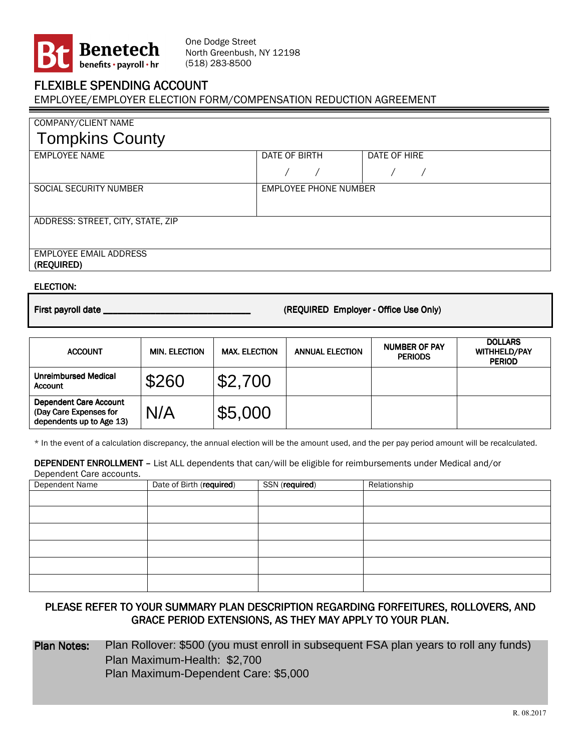

One Dodge Street North Greenbush, NY 12198 (518) 283-8500

## FLEXIBLE SPENDING ACCOUNT

EMPLOYEE/EMPLOYER ELECTION FORM/COMPENSATION REDUCTION AGREEMENT

| COMPANY/CLIENT NAME                         |                              |              |  |
|---------------------------------------------|------------------------------|--------------|--|
| <b>Tompkins County</b>                      |                              |              |  |
| <b>EMPLOYEE NAME</b>                        | DATE OF BIRTH                | DATE OF HIRE |  |
|                                             |                              |              |  |
| SOCIAL SECURITY NUMBER                      | <b>EMPLOYEE PHONE NUMBER</b> |              |  |
|                                             |                              |              |  |
| ADDRESS: STREET, CITY, STATE, ZIP           |                              |              |  |
|                                             |                              |              |  |
| <b>EMPLOYEE EMAIL ADDRESS</b><br>(REQUIRED) |                              |              |  |
|                                             |                              |              |  |

## ELECTION: ELECTION:

First payroll date \_\_\_\_\_\_\_\_\_\_\_\_\_\_\_\_\_\_\_\_\_\_\_\_\_\_\_\_\_\_\_ payroll date \_\_\_\_\_\_\_\_\_\_\_\_\_\_\_ ( (REQUIRED REQUIRED REQUIRED Employer Employer -Office Use Only) Office Use Only) Office Use Only)

| <b>ACCOUNT</b>                                                                      | <b>MIN. ELECTION</b> | <b>MAX. ELECTION</b> | <b>ANNUAL ELECTION</b> | <b>NUMBER OF PAY</b><br><b>PERIODS</b> | <b>DOLLARS</b><br><b>WITHHELD/PAY</b><br><b>PERIOD</b> |
|-------------------------------------------------------------------------------------|----------------------|----------------------|------------------------|----------------------------------------|--------------------------------------------------------|
| <b>Unreimbursed Medical</b><br><b>Account</b>                                       | \$260                | \$2,700              |                        |                                        |                                                        |
| <b>Dependent Care Account</b><br>(Day Care Expenses for<br>dependents up to Age 13) | N/A                  | \$5,000              |                        |                                        |                                                        |

\* In the event of a calculation discrepancy, the annual election will be the amount used, and the per pay period amount will be recalculated.

DEPENDENT ENROLLMENT - List ALL dependents that can/will be eligible for reimbursements under Medical and/or

| Dependent Care accounts. |                          |                |              |
|--------------------------|--------------------------|----------------|--------------|
| Dependent Name           | Date of Birth (required) | SSN (required) | Relationship |
|                          |                          |                |              |
|                          |                          |                |              |
|                          |                          |                |              |
|                          |                          |                |              |
|                          |                          |                |              |
|                          |                          |                |              |

## PLEASE REFER TO YOUR SUMMARY PLAN DESCRIPTION REGARDING FORFEITURES, ROLLOVERS, AND GRACE PERIOD EXTENSIONS, AS THEY MAY APPLY TO YOUR PLAN.

Plan Notes: Plan Rollover: \$500 (you must enroll in subsequent FSA plan years to roll any funds) Plan Maximum-Health: \$2,700 Plan Maximum-Dependent Care: \$5,000